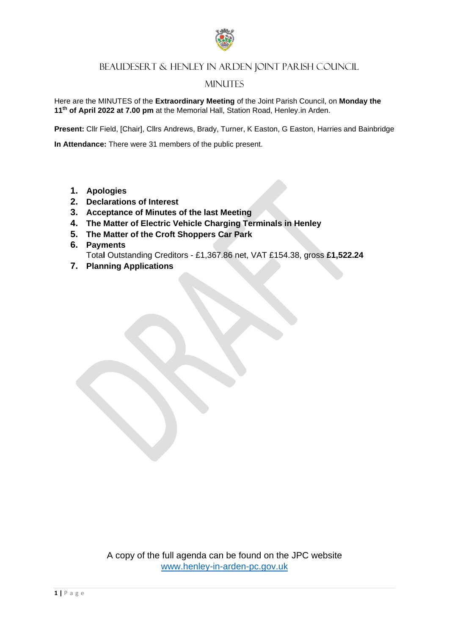

## BEAUDESERT & HENLEY IN ARDEN JOINT PARISH COUNCIL

### **MINUTES**

Here are the MINUTES of the **Extraordinary Meeting** of the Joint Parish Council, on **Monday the 11th of April 2022 at 7.00 pm** at the Memorial Hall, Station Road, Henley.in Arden.

**Present:** Cllr Field, [Chair], Cllrs Andrews, Brady, Turner, K Easton, G Easton, Harries and Bainbridge

**In Attendance:** There were 31 members of the public present.

- **1. Apologies**
- **2. Declarations of Interest**
- **3. Acceptance of Minutes of the last Meeting**
- **4. The Matter of Electric Vehicle Charging Terminals in Henley**
- **5. The Matter of the Croft Shoppers Car Park**
- **6. Payments**  Tota**l** Outstanding Creditors - £1,367.86 net, VAT £154.38, gross **£1,522.24**
- **7. Planning Applications**

A copy of the full agenda can be found on the JPC website [www.henley-in-arden-pc.gov.uk](http://www.henley-in-arden-pc.gov.uk/)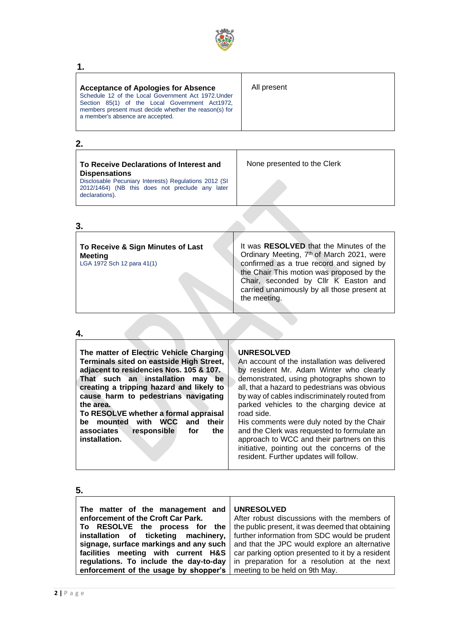

#### **1.**

| <b>Acceptance of Apologies for Absence</b><br>Schedule 12 of the Local Government Act 1972. Under<br>Section 85(1) of the Local Government Act1972,<br>members present must decide whether the reason(s) for<br>a member's absence are accepted. | All present |
|--------------------------------------------------------------------------------------------------------------------------------------------------------------------------------------------------------------------------------------------------|-------------|
|--------------------------------------------------------------------------------------------------------------------------------------------------------------------------------------------------------------------------------------------------|-------------|

┱

## **2.**

**3.**

| To Receive Declarations of Interest and<br><b>Dispensations</b>                                                            | None presented to the Clerk |
|----------------------------------------------------------------------------------------------------------------------------|-----------------------------|
| Disclosable Pecuniary Interests) Regulations 2012 (SI<br>2012/1464) (NB this does not preclude any later<br>declarations). |                             |
|                                                                                                                            |                             |

| To Receive & Sign Minutes of Last |  |  |  |  |  |  |  |
|-----------------------------------|--|--|--|--|--|--|--|
| Meeting                           |  |  |  |  |  |  |  |
| LGA 1972 Sch 12 para 41(1)        |  |  |  |  |  |  |  |

It was **RESOLVED** that the Minutes of the Ordinary Meeting, 7<sup>th</sup> of March 2021, were confirmed as a true record and signed by the Chair This motion was proposed by the Chair, seconded by Cllr K Easton and carried unanimously by all those present at the meeting.

#### **4.**

#### **5.**

| 5.                                                                                                       |                                                                                                                       |
|----------------------------------------------------------------------------------------------------------|-----------------------------------------------------------------------------------------------------------------------|
| The matter of the management and<br>enforcement of the Croft Car Park.<br>To RESOLVE the process for the | <b>UNRESOLVED</b><br>After robust discussions with the members of<br>the public present, it was deemed that obtaining |
| installation of ticketing machinery,                                                                     | further information from SDC would be prudent                                                                         |
| signage, surface markings and any such                                                                   | and that the JPC would explore an alternative                                                                         |
| facilities meeting with current H&S                                                                      | car parking option presented to it by a resident                                                                      |
| regulations. To include the day-to-day                                                                   | in preparation for a resolution at the next                                                                           |
| enforcement of the usage by shopper's                                                                    | meeting to be held on 9th May.                                                                                        |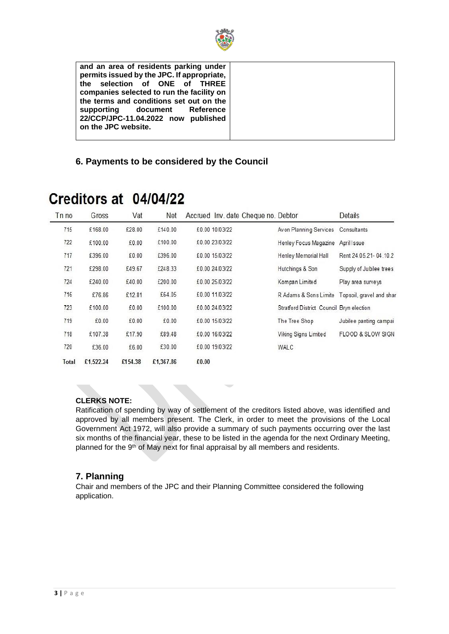

**and an area of residents parking under permits issued by the JPC. If appropriate, the selection of ONE of THREE companies selected to run the facility on the terms and conditions set out on the supporting document Reference 22/CCP/JPC-11.04.2022 now published on the JPC website.**

#### **6. Payments to be considered by the Council**

| T <sub>n</sub> no | Gross     | Vat     | Net       |       | Accrued Inv. date Cheque no. Debtor |                                                | Details                 |
|-------------------|-----------|---------|-----------|-------|-------------------------------------|------------------------------------------------|-------------------------|
| 715               | £168.00   | £28.00  | £140.00   |       | £0.00 10/03/22                      | Avon Planning Services                         | Consultants             |
| 722               | £100.00   | £0.00   | £100.00   |       | £0.00 23/03/22                      | Henley Focus Magazine                          | April Issue             |
| 717               | £396.00   | £0.00   | £396.00   |       | £0.00 15/03/22                      | Henley Memorial Hall                           | Rent 24.05.21-04.10.2   |
| 721               | £298.00   | £49.67  | £248.33   |       | £0.00 24/03/22                      | Hutchings & Son                                | Supply of Jubilee trees |
| 724               | £240.00   | £40.00  | £200.00   |       | £0.00 25/03/22                      | Kompan Limited                                 | Play area surveys       |
| 716               | £76.86    | £12.81  | £64.05    |       | £0.00 11/03/22                      | R Adams & Sons Limite Topsoil, gravel and shar |                         |
| 723               | £100.00   | £0.00   | £100.00   |       | £0.00 24/03/22                      | Stratford District Council Bryn election       |                         |
| 719               | £0.00     | £0.00   | £0.00     |       | £0.00 15/03/22                      | The Tree Shop                                  | Jubilee panting campai  |
| 718               | £107.38   | £17.90  | £89.48    |       | £0.00 16/03/22                      | Viking Signs Limited                           | FLOOD & SLOW SIGN       |
| 720               | £36.00    | £6.00   | £30.00    |       | £0.00 19/03/22                      | WALC                                           |                         |
| Total             | £1,522.24 | £154.38 | £1,367.86 | £0.00 |                                     |                                                |                         |

# Creditors at 04/04/22

#### **CLERKS NOTE:**

Ratification of spending by way of settlement of the creditors listed above, was identified and approved by all members present. The Clerk, in order to meet the provisions of the Local Government Act 1972, will also provide a summary of such payments occurring over the last six months of the financial year, these to be listed in the agenda for the next Ordinary Meeting, planned for the 9<sup>th</sup> of May next for final appraisal by all members and residents.

#### **7. Planning**

Chair and members of the JPC and their Planning Committee considered the following application.